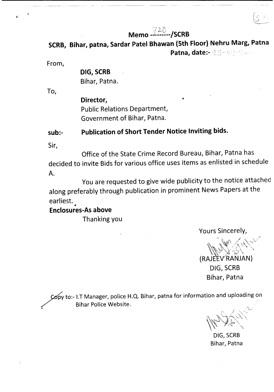### corre **Memo -l------/SCRB**

**SCRB, Bihar, patna, Sardar Patel Bhawan (5th Floor) Nehru Marg, Patna Patna, date:-**

From,

 $\ddot{\bullet}$ 

## **DIG, SCRB** Bihar, Patna.

To,

**Director,** Public Relations Department, Government of Bihar, Patna.

## **sub:- Publication of Short Tender Notice Inviting bids.**

Sir,

Office of the State Crime Record Bureau, Bihar, Patna has decided to invite Bids for various office uses items as enlisted in schedule A.

You are requested to give wide publicity to the notice attached along preferably through publication in prominent News Papers at the earliest.

### • **Enclosures-As above**

Thanking you

Yours Sincerely,

 $\int_{\mathbb{R}}$   $\int_{\mathbb{R}}$  $W_{\rm s}$ 

(RAJEEVRANJAN) DIG, SCRB Bihar, Patna

~ to:- I.T Manager, police H.Q. Bihar, patna for information and uploading on Bihar Police Website.

DIG, SCRB Bihar, Patna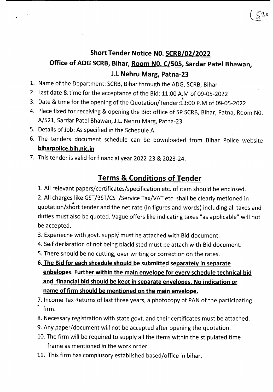# **Short Tender Notice NO. SCRB/02/2022**

# **Office of ADG SCRB, Bihar, Room NO. C/505, Sardar Patel Bhawan, J.L Nehru Marg, Patna-23**

- 1. Name of the Department: SCRB, Bihar through the ADG, SCRB, Bihar
- 2. Last date & time for the acceptance of the Bid: 11:00 A.M of 09-05-2022
- 3. Date & time for the opening of the Quotation/Tender:13:00 P.M of 09-05-2022
- 4. Place fixed for receiving & opening the Bid: office of SP SCRB, Bihar, Patna, Room N0. A/S21, Sardar Patel Bhawan, J.L. Nehru Marg, Patna-23
- 5. Details of Job: As specified in the Schedule A.
- 6. The tenders document schedule can be downloaded from Bihar Police website **biharpolice.bih.nic.in**
- 7. This tender is valid for financial year 2022-23 & 2023-24.

# **Terms & Conditions of Tender**

1. All relevant papers/certificates/specification etc. of item should be enclosed.

2. All charges like GST/BST/CST/Service Tax/VAT etc. shall be clearly metioned in • quotation/short tender and the net rate (in figures and words) including all taxes and duties must also be quoted. Vague offers like indicating taxes "as applicable" will not be accepted.

3. Experiecne with govt. supply must be attached with Bid document.

4. Self declaration of not being blacklisted must be attach with Bid document.

5. There should be no cutting, over writing or correction on the rates.

- **6. The Bid for each shcedule should be submitted separately in separate enbelopes. Further within the main envelope for every schedule technical bid and financial bid should be kept in separate envelopes. No indication or name of firm should be mentioned on the main envelope.**
- 7. Income Tax Returns of last three years, a photocopy of PAN of the participating firm.
- 8. Necessary registration with state govt. and their certificates must be attached.
- 9. Any paper/document will not be accepted after opening the quotation.
- 10. The firm will be required to supply all the items within the stipulated time frame as mentioned in the work order.
- 11. This firm has complusory established based/office in bihar.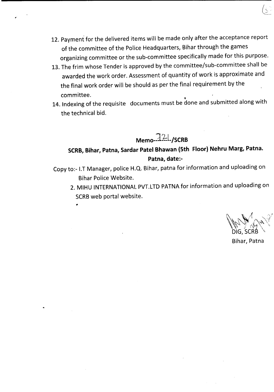- 12. Payment for the delivered items will be made only after the acceptance report of the committee of the Police Headquarters, Bihar through the games organizing committee or the sub-committee specifically made for this purpose.
- 13. The frim whose Tender is approved by the committee/sub-committee shall be awarded the work order. Assessment of quantity of work is approximate and the final work order will be should as per the final requirement by the committee. ~
- 14. Indexing of the requisite the technical bid. documents must be done and submitted along with

**Memo-121./SCRB** 

## **SCRB,Bihar, Patna, Sardar Patel Bhawan (5th Floor) Nehru Marg, Patna. Patna, date:-**

- Copy to:- I.T Manager, police H.Q. Bihar, patna for information and uploading on Bihar Police Website.
	- 2. MIHU INTERNATIONAL PVT.LTD PATNA for information and uploading on SCRB web portal website.

Bihar, Patna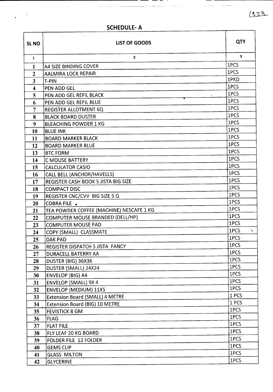$1528$ 

| <b>SCHEDULE-A</b> |  |
|-------------------|--|

 $\mathbf{L}$ 

 $\sim$   $\sim$  $\bar{\star}$ 

and the comment of the company

 $\sim$ 

 $\bar{a}$ 

| SL <sub>NO</sub>        | <b>LIST OF GOODS</b>                       | <b>QTY</b>     |
|-------------------------|--------------------------------------------|----------------|
| $\mathbf{1}$            | $\overline{2}$                             | 3 <sup>1</sup> |
| $\mathbf{1}$            | <b>A4 SIZE BINDING COVER</b>               | 1PCS           |
| $\boldsymbol{2}$        | <b>AALMIRA LOCK REPAIR</b>                 | 1PCS           |
| $\overline{\mathbf{3}}$ | T-PIN                                      | 1PKD           |
| $\overline{\mathbf{4}}$ | <b>PEN ADD GEL</b>                         | 1PCS           |
| 5                       | PEN ADD GEL REFIL BLACK                    | 1PCS           |
| 6                       | PEN ADD GEL REFIL BLUE                     | 1PCS           |
| $\overline{7}$          | <b>REGISTER ALLOTMENT 6Q</b>               | 1PCS           |
| 8                       | <b>BLACK BOARD DUSTER</b>                  | 1PCS           |
| 9                       | <b>BLEACHING POWDER 1 KG</b>               | 1PCS           |
| 10                      | <b>BLUE INK</b>                            | 1PCS           |
| 11                      | <b>BOARD MARKER BLACK</b>                  | 1PCS           |
| 12                      | <b>BOARD MARKER BLUE</b>                   | 1PCS           |
| 13                      | <b>BTC FORM</b>                            | 1PCS           |
| 14                      | <b>C MOUSE BATTERY</b>                     | 1PCS           |
| 15                      | <b>CALCULATOR CASIO</b>                    | 1PCS           |
| 16                      | CALL BELL (ANCHOR/HAVELLS)                 | 1PCS           |
| 17                      | <b>REGISTER CASH BOOK 5 JISTA BIG SIZE</b> | 1PCS           |
| 18                      | <b>COMPACT DISC</b>                        | 1PCS           |
| 19                      | <b>REGISTER CNC/CVV BIG SIZE 5 Q</b>       | 1PCS           |
| 20                      | <b>COBRA FILE</b>                          | 1PCS           |
| 21                      | TEA POWDER COFFEE (MACHINE) NESCAFE 1 KG   | 1PCS           |
| 22                      | COMPUTER MOUSE BRANDED (DELL/HP)           | 1PCS           |
| 23                      | <b>COMPUTER MOUSE PAD</b>                  | 1PCS           |
| 24                      | COPY (SMALL) CLASSMATE                     | 1PCS<br>Ñ.     |
| 25                      | <b>DAK PAD</b>                             | 1PCS           |
| 26                      | <b>REGISTER DISPATCH 5 JISTA FANCY</b>     | 1PCS           |
| 27                      | DURACELL BATERRY AA                        | 1PCS           |
| 28                      | DUSTER (BIG) 36X36                         | 1PCS           |
| 29                      | DUSTER (SMALL) 24X24                       | 1PCS           |
| 30                      | <b>ENVELOP (BIG) A4</b>                    | 1PCS           |
| 31                      | <b>ENVELOP (SMALL) 9X 4</b>                | 1PCS           |
| 32                      | <b>ENVELOP (MEDIUM) 11X5</b>               | 1PCS           |
| 33                      | <b>Extension Board (SMALL) 4 METRE</b>     | 1PCS           |
| 34                      | <b>Extension Board (BIG) 10 METRE</b>      | 1 PCS          |
| 35                      | <b>FEVISTICK 8 GM</b>                      | 1PCS           |
| 36                      | <b>FLAG</b>                                | 1PCS           |
| 37                      | <b>FLAT FILE</b>                           | 1PCS           |
| 38                      | FLY LEAF 20 KG BOARD                       | 1PCS           |
| 39                      | FOLDER FILE 12 FOLDER                      | 1PCS           |
| 40                      | <b>GEMS CLIP</b>                           | 1PCS           |
| 41                      | <b>GLASS MILTON</b>                        | 1PCS           |
| 42                      | <b>GLYCERINE</b>                           | 1PCS           |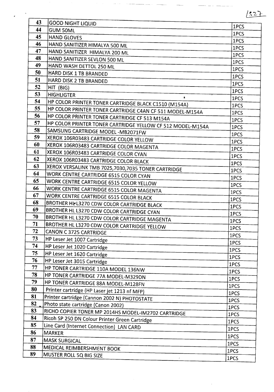|          |                                                            | 1527         |
|----------|------------------------------------------------------------|--------------|
| 43       | <b>GOOD NIGHT LIQUID</b>                                   |              |
| 44       | <b>GUM 50ML</b>                                            | 1PCS         |
| 45       | <b>HAND GLOVES</b>                                         | 1PCS<br>1PCS |
| 46       | HAND SANITIZER HIMALYA 500 ML                              | 1PCS         |
| 47       | HAND SANITIZER HIMALYA 200 ML                              | 1PCS         |
| 48       | HAND SANITIZER SEVLON 500 ML                               | 1PCS         |
| 49       | HAND WASH DETTOL 250 ML                                    | 1PCS         |
| 50       | HARD DISK 1 TB BRANDED                                     | 1PCS         |
| 51       | HARD DISK 2 TB BRANDED                                     | 1PCS         |
| 52       | HIT (BIG)                                                  | 1PCS         |
| 53       | <b>HIGHLIGTER</b><br>$\bullet$                             | 1PCS         |
| 54       | HP COLOR PRINTER TONER CARTRIDGE BLACK C1510 (M154A)       | 1PCS         |
| 55       | HP COLOR PRINTER TONER CARTRIDGE C4AN CF 511 MODEL-M154A   | 1PCS         |
| 56       | HP COLOR PRINTER TONER CARTRIDGE CF 513 M154A              | 1PCS         |
| 57       | HP COLOR PRINTER TONER CARTRIDGE YELLOW CF 512 MODEL-M154A | 1PCS         |
| 58       | SAMSUNG CARTRIDGE MODEL -MB2071FW                          | 1PCS         |
| 59       | XEROX 106R03483 CARTRIDGE COLOR YELLOW                     | 1PCS         |
| 60       | XEROX 106R03483 CARTRIDGE COLOR MAGENTA                    | 1PCS         |
| 61       | XEROX 106R03483 CARTRIDGE COLOR CYAN                       | 1PCS         |
| 62       | XEROX 106R03483 CARTRIDGE COLOR BLACK                      | 1PCS         |
| 63       | XEROX VERSALINK TMB 7025,7030,7035 TONER CARTRIDGE         | 1PCS         |
| 64       | WORK CENTRE CARTRIDGE 6515 COLOR CYAN                      | 1PCS         |
| 65       | WORK CENTRE CARTRIDGE 6515 COLOR YELLOW                    | 1PCS         |
| 66       | WORK CENTRE CARTRIDGE 6515 COLOR MAGENTA                   | 1PCS         |
| 67<br>68 | WORK CENTRE CARTRIDGE 6515 COLOR BLACK                     | 1PCS         |
| 69       | BROTHER HI-L3270 CDW COLOR CARTRIDGE BLACK                 | 1PCS         |
| 70       | BROTHER HL L3270 CDW COLOR CARTRIDGE CYAN                  | 1PCS         |
| 71       | BROTHER HL L3270 CDW COLOR CARTRIDGE MAGENTA               | 1PCS         |
| 72       | BROTHER HL L3270 CDW COLOR CARTRIDGE YELLOW                | 1PCS         |
| 73       | <b>CANON C 3725 CARTRIDGE</b>                              | 1PCS         |
| 74       | HP Leser Jet 1007 Cartridge                                | 1PCS         |
| 75       | HP Leser Jet 1020 Cartridge<br>HP Leser Jet 1620 Cartridge | 1PCS         |
| 76       | HP Leser Jet 3015 Cartridge                                | 1PCS         |
| 77       | HP TONER CARTRIDGE 110A MODEL 136NW                        | 1PCS         |
| 78       | HP TONER CARTRIDGE 77A MODEL-M329DN                        | 1PCS         |
| 79       | HP TONER CARTRIDGE 88A MODEL-M128FN                        | 1PCS         |
| 80       | Printer cartridge (HP Laser jet 1213 nf MFP)               | 1PCS         |
| 81       | Printer cartridge (Cannon 2002 N) PHOTOSTATE               | 1PCS         |
| 82       | Photo state cartridge (Canon 2002)                         | 1PCS         |
| 83       | RICHO COPIER TONER MP 2014HS MODEL-IM2702 CARTRIDGE        | 1PCS         |
| 84       | Ricoh SP 250 DN Colour Printer Green Cartridge             | 1PCS         |
| 85       | Line Card (Internet Connection) LAN CARD                   | 1PCS         |
| 86       | <b>MARKER</b>                                              | 1PCS         |
| 87       | <b>MASK SURGICAL</b>                                       | 1PCS         |
| 88       | MEDICAL REIMBERSHMENT BOOK                                 | 1PCS<br>1PCS |
| 89       | MUSTER ROLL 5Q BIG SIZE                                    |              |
|          |                                                            | 1PCS         |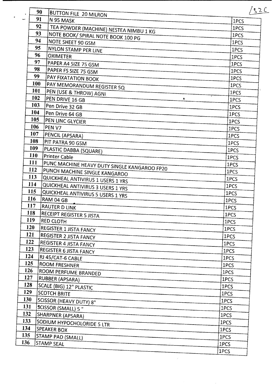|            | 90                                           | /52C |
|------------|----------------------------------------------|------|
|            | BUTTON FILE 20 MILRON<br>91<br>N 95 MASK     |      |
|            | 92                                           | 1PCS |
|            | TEA POWDER (MACHINE) NESTEA NIMBU 1 KG<br>93 | 1PCS |
|            | NOTE BOOK/ SPIRAL NOTE BOOK 100 PG<br>94     | 1PCS |
|            | NOTE SHEET 90 GSM<br>95                      | 1PCS |
|            | NYLON STAMP PER LINE<br>96                   | 1PCS |
|            | <b>OXIMETER</b><br>97                        | 1PCS |
|            | PAPER A4 SIZE 75 GSM<br>98                   | 1PCS |
|            | <b>PAPER FS SIZE 75 GSM</b><br>99            | 1PCS |
|            | PAY FIXATATION BOOK<br>100                   | 1PCS |
|            | PAY MEMORANDUM REGISTER 5Q<br>101            | 1PCS |
| 102        | PEN (USE & THROW) AGNI                       | 1PCS |
| 103        | PEN DRIVE 16 GB<br>8                         | 1PCS |
| 104        | Pen Drive 32 GB                              | 1PCS |
|            | Pen Drive 64 GB                              | 1PCS |
| 105        | PEN LINC GLYCIER                             | 1PCS |
| 106        | PEN V7                                       | 1PCS |
| 107        | PENCIL (APSARA)                              | 1PCS |
| 108        | PIT PATRA 90 GSM                             | 1PCS |
| 109        | PLASTIC DABBA (SQUARE)                       | 1PCS |
| <b>110</b> | Printer Cable                                | 1PCS |
| 111        | PUNC MACHINE HEAVY DUTY SINGLE KANGAROO FP20 | 1PCS |
| 112        | PUNCH MACHINE SINGLE KANGAROO                | 1PCS |
| 113        | QUICKHEAL ANTIVIRUS 1 USERS 1 YRS            | 1PCS |
| 114        | QUICKHEAL ANTIVIRUS 3 USERS 1 YRS            | 1PCS |
| 115        | QUICKHEAL ANTIVIRUS 5 USERS 1 YRS            | 1PCS |
| 116        | RAM 04 GB                                    | 1PCS |
| 117        | <b>RAUTER D LINK</b>                         | 1PCS |
| 118        | <b>RECEIPT REGISTER 5 JISTA</b>              | 1PCS |
| 119        | <b>RED CLOTH</b>                             | 1PCS |
| <b>120</b> | REGISTER 1 JISTA FANCY                       | 1PCS |
| 121        | <b>REGISTER 2 JISTA FANCY</b>                | 1PCS |
| 122        | REGISTER 4 JISTA FANCY                       | 1PCS |
| 123        | REGISTER 6 JISTA FANCY                       | 1PCS |
| 124        | RJ 45/CAT-6 CABLE                            | 1PCS |
| 125        | <b>ROOM FRESHNER</b>                         | 1PCS |
| 126        | ROOM PERFUME BRANDED                         | 1PCS |
| 127        | <b>RUBBER (APSARA)</b>                       | 1PCS |
| <b>128</b> | SCALE (BIG) 12" PLASTIC                      | 1PCS |
| 129        | <b>SCOTCH BRITE</b>                          | 1PCS |
| 130        | SCISSOR (HEAVY DUTY) 8"                      | 1PCS |
| 131        | SCISSOR (SMALL) 5 "                          | 1PCS |
| 132        | SHARPNER (APSARA)                            | 1PCS |
| 133        | SODIUM HYPOCHOLORIDE 5 LTR                   | 1PCS |
| 134        | <b>SPEAKER BOX</b>                           | 1PCS |
| 135        | STAMP PAD (SMALL)                            | 1PCS |
| 136        | <b>STAMP SEAL</b>                            | 1PCS |
|            |                                              | 1PCS |

 $\hat{\mathbf{r}}$